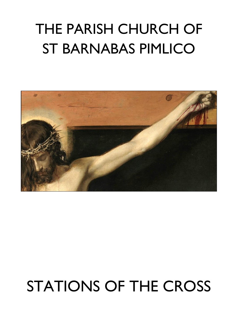# THE PARISH CHURCH OF ST BARNABAS PIMLICO



# STATIONS OF THE CROSS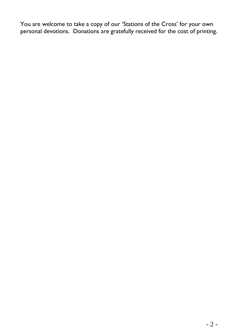You are welcome to take a copy of our 'Stations of the Cross' for your own personal devotions. Donations are gratefully received for the cost of printing.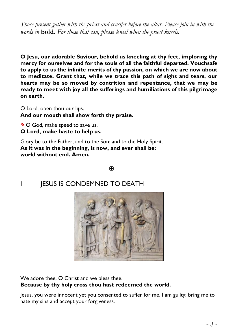*Those present gather with the priest and crucifer before the altar. Please join in with the words in* **bold.** *For those that can, please kneel when the priest kneels.*

**O Jesu, our adorable Saviour, behold us kneeling at thy feet, imploring thy mercy for ourselves and for the souls of all the faithful departed. Vouchsafe to apply to us the infinite merits of thy passion, on which we are now about to meditate. Grant that, while we trace this path of sighs and tears, our hearts may be so moved by contrition and repentance, that we may be ready to meet with joy all the sufferings and humiliations of this pilgrimage on earth.**

O Lord, open thou our lips. **And our mouth shall show forth thy praise.**

 $\mathbf{\mathbf{\Phi}}$  O God, make speed to save us. **O Lord, make haste to help us.**

Glory be to the Father, and to the Son: and to the Holy Spirit. **As it was in the beginning, is now, and ever shall be: world without end. Amen.**

ж

I **IESUS IS CONDEMNED TO DEATH** 



We adore thee, O Christ and we bless thee. **Because by thy holy cross thou hast redeemed the world.**

Jesus, you were innocent yet you consented to suffer for me. I am guilty: bring me to hate my sins and accept your forgiveness.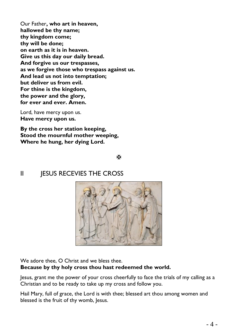Our Father**, who art in heaven, hallowed be thy name; thy kingdom come; thy will be done; on earth as it is in heaven. Give us this day our daily bread. And forgive us our trespasses, as we forgive those who trespass against us. And lead us not into temptation; but deliver us from evil. For thine is the kingdom, the power and the glory, for ever and ever. Amen.**

Lord, have mercy upon us. **Have mercy upon us.**

**By the cross her station keeping, Stood the mournful mother weeping, Where he hung, her dying Lord.**

**K** 

#### II JESUS RECEVIES THE CROSS



We adore thee, O Christ and we bless thee. **Because by thy holy cross thou hast redeemed the world.**

Jesus, grant me the power of your cross cheerfully to face the trials of my calling as a Christian and to be ready to take up my cross and follow you.

Hail Mary, full of grace, the Lord is with thee; blessed art thou among women and blessed is the fruit of thy womb, Jesus.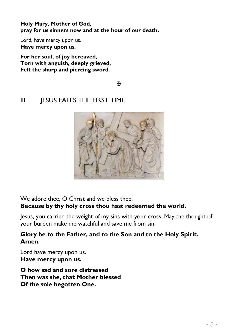**Holy Mary, Mother of God, pray for us sinners now and at the hour of our death.**

Lord, have mercy upon us. **Have mercy upon us.**

**For her soul, of joy bereaved, Torn with anguish, deeply grieved, Felt the sharp and piercing sword.**

К

### III **JESUS FALLS THE FIRST TIME**



We adore thee, O Christ and we bless thee. **Because by thy holy cross thou hast redeemed the world.**

Jesus, you carried the weight of my sins with your cross. May the thought of your burden make me watchful and save me from sin.

#### **Glory be to the Father, and to the Son and to the Holy Spirit. Amen**.

Lord have mercy upon us. **Have mercy upon us.**

**O how sad and sore distressed Then was she, that Mother blessed Of the sole begotten One.**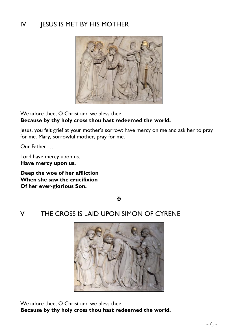# IV JESUS IS MET BY HIS MOTHER



We adore thee, O Christ and we bless thee. **Because by thy holy cross thou hast redeemed the world.**

Jesus, you felt grief at your mother's sorrow: have mercy on me and ask her to pray for me. Mary, sorrowful mother, pray for me.

Our Father …

Lord have mercy upon us. **Have mercy upon us.**

**Deep the woe of her affliction When she saw the crucifixion Of her ever-glorious Son.**

呸

#### V THE CROSS IS LAID UPON SIMON OF CYRENE



We adore thee, O Christ and we bless thee. **Because by thy holy cross thou hast redeemed the world.**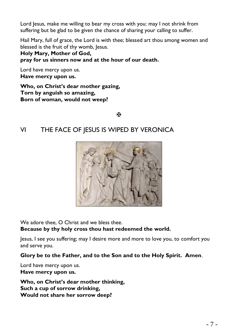Lord Jesus, make me willing to bear my cross with you: may I not shrink from suffering but be glad to be given the chance of sharing your calling to suffer.

Hail Mary, full of grace, the Lord is with thee; blessed art thou among women and blessed is the fruit of thy womb, Jesus.

**Holy Mary, Mother of God, pray for us sinners now and at the hour of our death.**

Lord have mercy upon us. **Have mercy upon us.**

**Who, on Christ's dear mother gazing, Torn by anguish so amazing, Born of woman, would not weep?**

Ж

#### VI THE FACE OF JESUS IS WIPED BY VERONICA



We adore thee, O Christ and we bless thee.

**Because by thy holy cross thou hast redeemed the world.**

Jesus, I see you suffering; may I desire more and more to love you, to comfort you and serve you.

**Glory be to the Father, and to the Son and to the Holy Spirit. Amen**.

Lord have mercy upon us. **Have mercy upon us.**

**Who, on Christ's dear mother thinking, Such a cup of sorrow drinking, Would not share her sorrow deep?**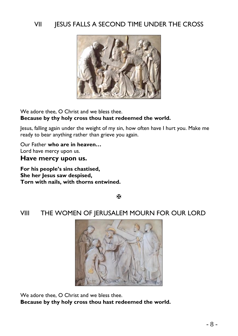#### VII **JESUS FALLS A SECOND TIME UNDER THE CROSS**



We adore thee, O Christ and we bless thee. **Because by thy holy cross thou hast redeemed the world.**

Jesus, falling again under the weight of my sin, how often have I hurt you. Make me ready to bear anything rather than grieve you again.

Our Father **who are in heaven…** Lord have mercy upon us. **Have mercy upon us.**

**For his people's sins chastised, She her Jesus saw despised, Torn with nails, with thorns entwined.**

闲

#### VIII THE WOMEN OF JERUSALEM MOURN FOR OUR LORD



We adore thee, O Christ and we bless thee. **Because by thy holy cross thou hast redeemed the world.**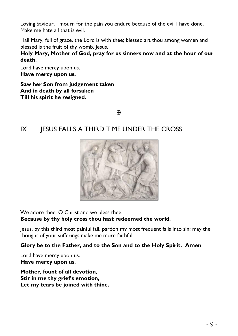Loving Saviour, I mourn for the pain you endure because of the evil I have done. Make me hate all that is evil.

Hail Mary, full of grace, the Lord is with thee; blessed art thou among women and blessed is the fruit of thy womb, Jesus.

**Holy Mary, Mother of God, pray for us sinners now and at the hour of our death.**

Lord have mercy upon us. **Have mercy upon us.**

**Saw her Son from judgement taken And in death by all forsaken Till his spirit he resigned.**

ж

#### IX JESUS FALLS A THIRD TIME UNDER THE CROSS



We adore thee, O Christ and we bless thee.

#### **Because by thy holy cross thou hast redeemed the world.**

Jesus, by this third most painful fall, pardon my most frequent falls into sin: may the thought of your sufferings make me more faithful.

#### **Glory be to the Father, and to the Son and to the Holy Spirit. Amen**.

Lord have mercy upon us. **Have mercy upon us.**

**Mother, fount of all devotion, Stir in me thy grief's emotion, Let my tears be joined with thine.**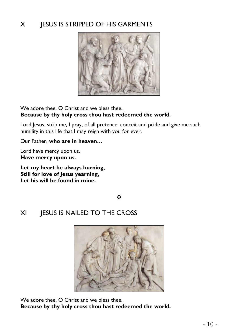# X **IESUS IS STRIPPED OF HIS GARMENTS**



We adore thee, O Christ and we bless thee. **Because by thy holy cross thou hast redeemed the world.**

Lord Jesus, strip me, I pray, of all pretence, conceit and pride and give me such humility in this life that I may reign with you for ever.

Our Father, **who are in heaven…**

Lord have mercy upon us. **Have mercy upon us.**

**Let my heart be always burning, Still for love of Jesus yearning, Let his will be found in mine.**

К

# XI JESUS IS NAILED TO THE CROSS



We adore thee, O Christ and we bless thee. **Because by thy holy cross thou hast redeemed the world.**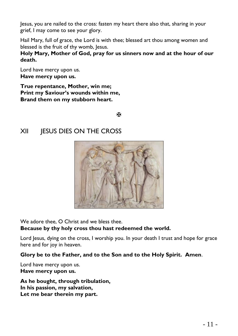Jesus, you are nailed to the cross: fasten my heart there also that, sharing in your grief, I may come to see your glory.

Hail Mary, full of grace, the Lord is with thee; blessed art thou among women and blessed is the fruit of thy womb, Jesus.

**Holy Mary, Mother of God, pray for us sinners now and at the hour of our death.**

Lord have mercy upon us. **Have mercy upon us.**

**True repentance, Mother, win me; Print my Saviour's wounds within me, Brand them on my stubborn heart.**

Ж

#### XII JESUS DIES ON THE CROSS



We adore thee, O Christ and we bless thee.

**Because by thy holy cross thou hast redeemed the world.**

Lord Jesus, dying on the cross, I worship you. In your death I trust and hope for grace here and for joy in heaven.

**Glory be to the Father, and to the Son and to the Holy Spirit. Amen**.

Lord have mercy upon us. **Have mercy upon us.**

**As he bought, through tribulation, In his passion, my salvation, Let me bear therein my part.**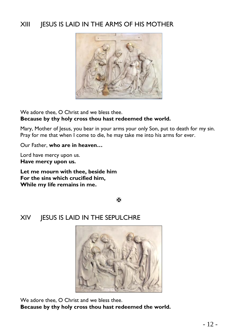### XIII JESUS IS LAID IN THE ARMS OF HIS MOTHER



We adore thee, O Christ and we bless thee. **Because by thy holy cross thou hast redeemed the world.**

Mary, Mother of Jesus, you bear in your arms your only Son, put to death for my sin. Pray for me that when I come to die, he may take me into his arms for ever.

Our Father, **who are in heaven…**

Lord have mercy upon us. **Have mercy upon us.**

**Let me mourn with thee, beside him For the sins which crucified him, While my life remains in me.**

Ж

#### XIV JESUS IS LAID IN THE SEPULCHRE



We adore thee, O Christ and we bless thee.

**Because by thy holy cross thou hast redeemed the world.**